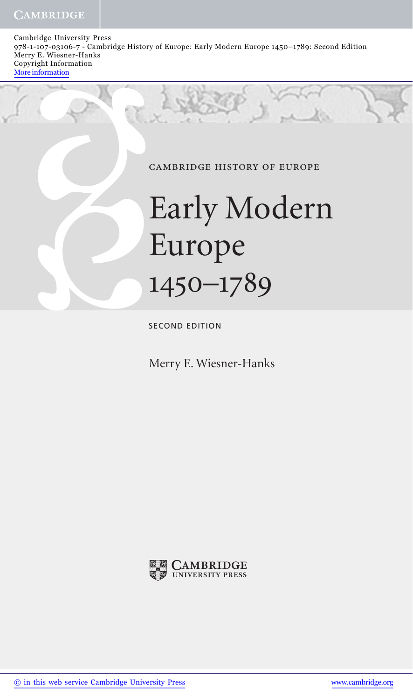Cambridge University Press 978-1-107-03106-7 - Cambridge History of Europe: Early Modern Europe 1450–1789: Second Edition Merry E. Wiesner-Hanks Copyright Information More information

cambridge history of europe

## Early Modern Europe 1450–1789

SECOND EDITION

Merry E. Wiesner-Hanks